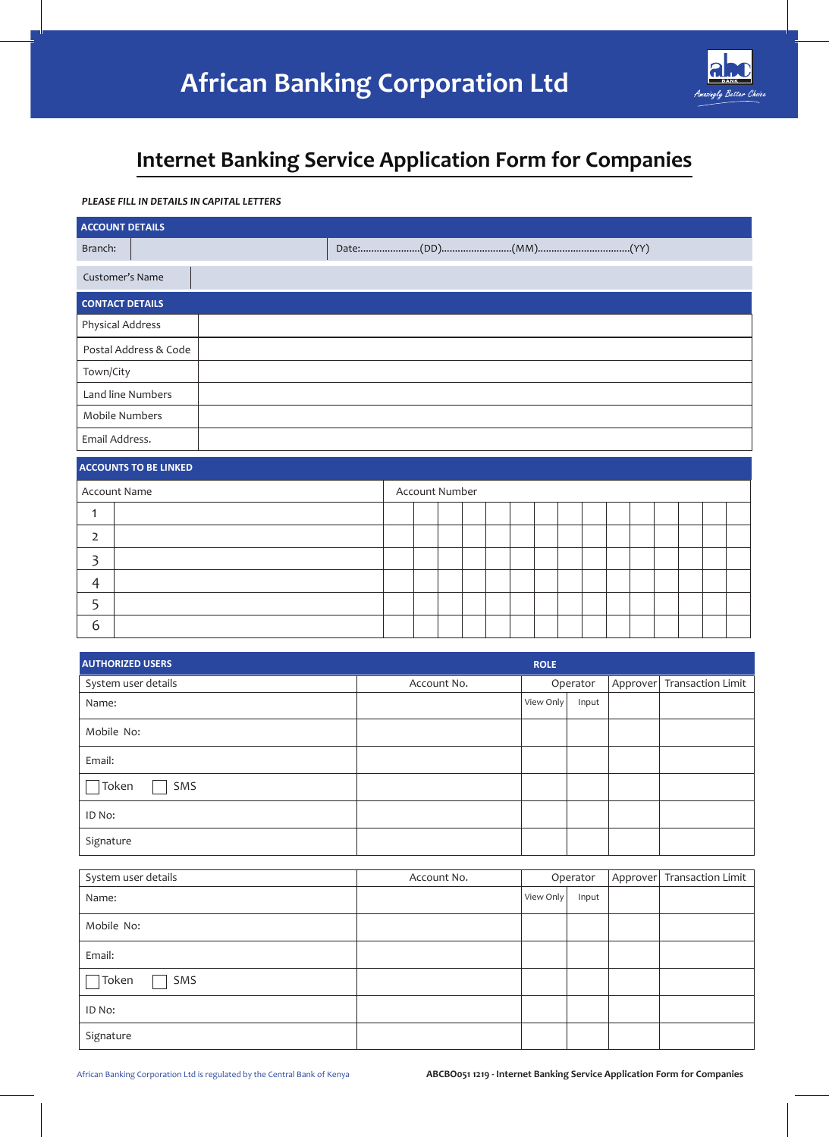

# **Internet Banking Service Application Form for Companies**

# *PLEASE FILL IN DETAILS IN CAPITAL LETTERS*

| <b>ACCOUNT DETAILS</b> |                       |  |  |  |  |  |  |  |
|------------------------|-----------------------|--|--|--|--|--|--|--|
| Branch:                |                       |  |  |  |  |  |  |  |
| Customer's Name        |                       |  |  |  |  |  |  |  |
| <b>CONTACT DETAILS</b> |                       |  |  |  |  |  |  |  |
| Physical Address       |                       |  |  |  |  |  |  |  |
|                        | Postal Address & Code |  |  |  |  |  |  |  |
| Town/City              |                       |  |  |  |  |  |  |  |
| Land line Numbers      |                       |  |  |  |  |  |  |  |
| Mobile Numbers         |                       |  |  |  |  |  |  |  |
| Email Address.         |                       |  |  |  |  |  |  |  |

# **ACCOUNTS TO BE LINKED**

|          | Account Name |  | Account Number |  |  |  |  |  |  |
|----------|--------------|--|----------------|--|--|--|--|--|--|
|          |              |  |                |  |  |  |  |  |  |
|          |              |  |                |  |  |  |  |  |  |
|          |              |  |                |  |  |  |  |  |  |
| $\Delta$ |              |  |                |  |  |  |  |  |  |
|          |              |  |                |  |  |  |  |  |  |
| b        |              |  |                |  |  |  |  |  |  |

| <b>AUTHORIZED USERS</b> |             | <b>ROLE</b> |          |                            |
|-------------------------|-------------|-------------|----------|----------------------------|
| System user details     | Account No. |             | Operator | Approver Transaction Limit |
| Name:                   |             | View Only   | Input    |                            |
| Mobile No:              |             |             |          |                            |
| Email:                  |             |             |          |                            |
| Token<br>SMS            |             |             |          |                            |
| ID No:                  |             |             |          |                            |
| Signature               |             |             |          |                            |

| System user details | Account No. |           | Operator | Approver Transaction Limit |
|---------------------|-------------|-----------|----------|----------------------------|
| Name:               |             | View Only | Input    |                            |
| Mobile No:          |             |           |          |                            |
| Email:              |             |           |          |                            |
| Token<br>SMS        |             |           |          |                            |
| ID No:              |             |           |          |                            |
| Signature           |             |           |          |                            |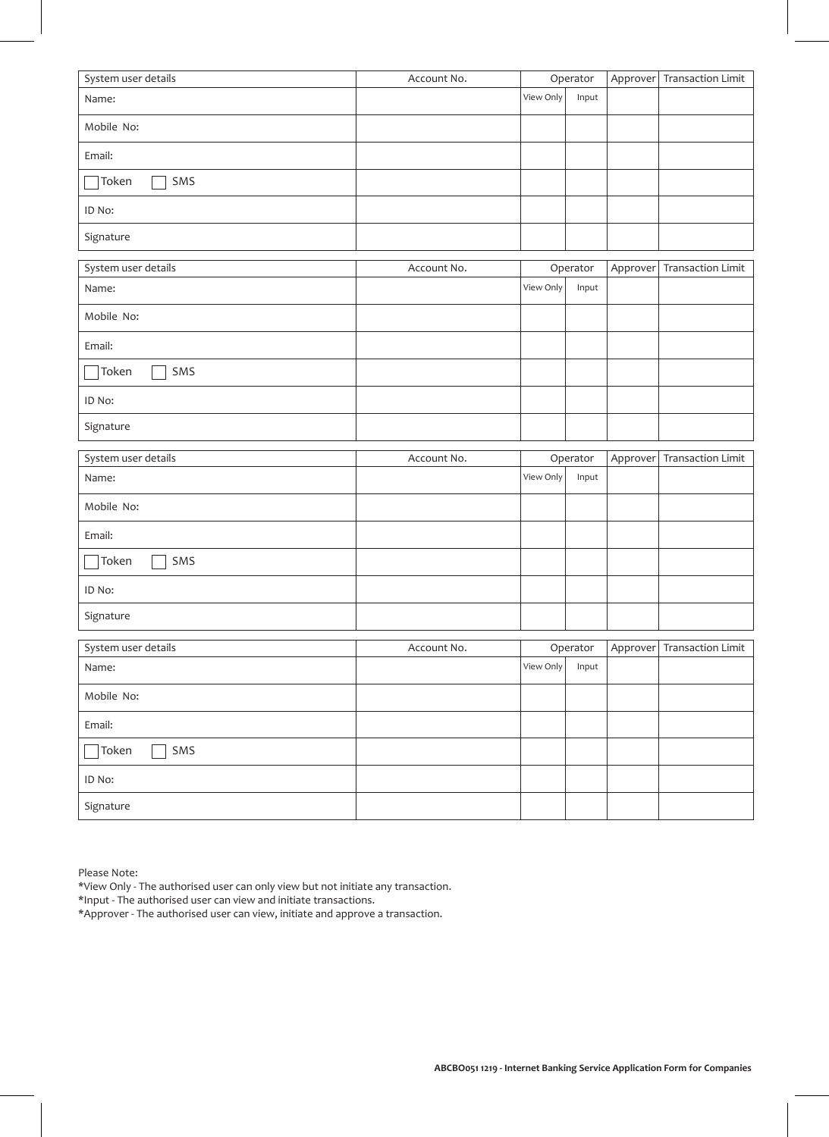| System user details | Account No. |           | Operator          |          | Approver Transaction Limit |
|---------------------|-------------|-----------|-------------------|----------|----------------------------|
| Name:               |             | View Only | Input             |          |                            |
| Mobile No:          |             |           |                   |          |                            |
| Email:              |             |           |                   |          |                            |
| Token<br>SMS        |             |           |                   |          |                            |
| ID No:              |             |           |                   |          |                            |
| Signature           |             |           |                   |          |                            |
| System user details | Account No. |           | Operator          | Approver | <b>Transaction Limit</b>   |
| Name:               |             | View Only | Input             |          |                            |
| Mobile No:          |             |           |                   |          |                            |
| Email:              |             |           |                   |          |                            |
| Token<br>SMS        |             |           |                   |          |                            |
| ID No:              |             |           |                   |          |                            |
| Signature           |             |           |                   |          |                            |
| System user details | Account No. |           | Operator          | Approver | <b>Transaction Limit</b>   |
| Name:               |             | View Only | Input             |          |                            |
| Mobile No:          |             |           |                   |          |                            |
| Email:              |             |           |                   |          |                            |
| SMS<br>Token        |             |           |                   |          |                            |
| ID No:              |             |           |                   |          |                            |
| Signature           |             |           |                   |          |                            |
| System user details |             |           |                   |          |                            |
|                     |             |           |                   |          |                            |
| Name:               | Account No. | View Only | Operator<br>Input |          | Approver Transaction Limit |
| Mobile No:          |             |           |                   |          |                            |
| Email:              |             |           |                   |          |                            |
| SMS<br>Token        |             |           |                   |          |                            |
| ID No:              |             |           |                   |          |                            |

Please Note:

\*View Only - The authorised user can only view but not initiate any transaction.

\*Input - The authorised user can view and initiate transactions.

\*Approver - The authorised user can view, initiate and approve a transaction.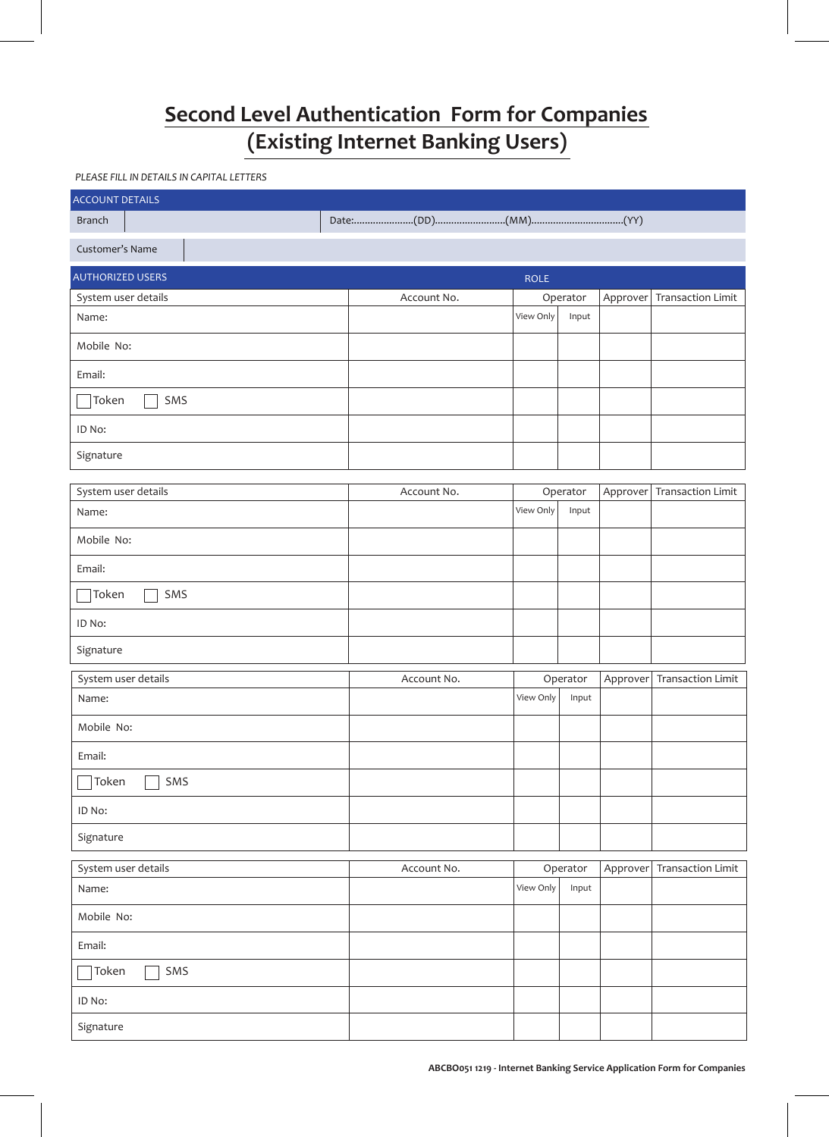# **Second Level Authentication Form for Companies (Existing Internet Banking Users)**

# *PLEASE FILL IN DETAILS IN CAPITAL LETTERS*

| <b>ACCOUNT DETAILS</b>  |             |                    |          |                          |
|-------------------------|-------------|--------------------|----------|--------------------------|
| <b>Branch</b>           |             |                    |          |                          |
| Customer's Name         |             |                    |          |                          |
| <b>AUTHORIZED USERS</b> |             | <b>ROLE</b>        |          |                          |
| System user details     | Account No. | Operator           | Approver | <b>Transaction Limit</b> |
| Name:                   |             | View Only<br>Input |          |                          |
| Mobile No:              |             |                    |          |                          |
| Email:                  |             |                    |          |                          |
| Token<br>SMS            |             |                    |          |                          |
| ID No:                  |             |                    |          |                          |
| Signature               |             |                    |          |                          |
| System user details     | Account No. | Operator           | Approver | <b>Transaction Limit</b> |
| Name:                   |             | View Only<br>Input |          |                          |
| Mobile No:              |             |                    |          |                          |
| Email:                  |             |                    |          |                          |
| Token<br>SMS            |             |                    |          |                          |
| ID No:                  |             |                    |          |                          |
| Signature               |             |                    |          |                          |
| System user details     | Account No. | Operator           | Approver | <b>Transaction Limit</b> |
| Name:                   |             | View Only<br>Input |          |                          |
| Mobile No:              |             |                    |          |                          |
| Email:                  |             |                    |          |                          |
| SMS<br>Token            |             |                    |          |                          |
| ID No:                  |             |                    |          |                          |
| Signature               |             |                    |          |                          |
| System user details     | Account No. | Operator           | Approver | <b>Transaction Limit</b> |
| Name:                   |             | View Only<br>Input |          |                          |
| Mobile No:              |             |                    |          |                          |
| Email:                  |             |                    |          |                          |
| $\exists$ Token<br>SMS  |             |                    |          |                          |
| ID No:                  |             |                    |          |                          |
| Signature               |             |                    |          |                          |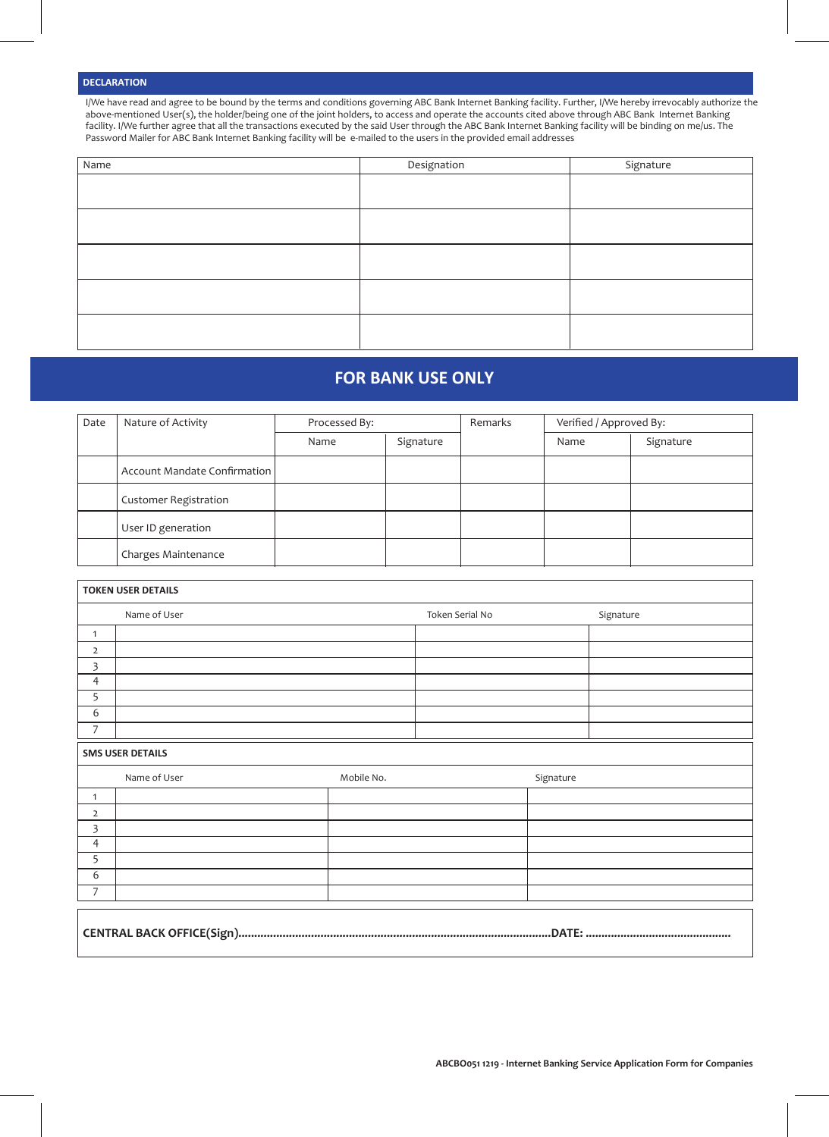# **DECLARATION**

7

I/We have read and agree to be bound by the terms and conditions governing ABC Bank Internet Banking facility. Further, I/We hereby irrevocably authorize the above-mentioned User(s), the holder/being one of the joint holders, to access and operate the accounts cited above through ABC Bank Internet Banking facility. I/We further agree that all the transactions executed by the said User through the ABC Bank Internet Banking facility will be binding on me/us. The Password Mailer for ABC Bank Internet Banking facility will be e-mailed to the users in the provided email addresses

| Name | Designation | Signature |
|------|-------------|-----------|
|      |             |           |
|      |             |           |
|      |             |           |
|      |             |           |
|      |             |           |

# **FOR BANK USE ONLY**

| Date | Nature of Activity           | Processed By: |           | Remarks | Verified / Approved By: |           |
|------|------------------------------|---------------|-----------|---------|-------------------------|-----------|
|      |                              | Name          | Signature |         | Name                    | Signature |
|      | Account Mandate Confirmation |               |           |         |                         |           |
|      | <b>Customer Registration</b> |               |           |         |                         |           |
|      | User ID generation           |               |           |         |                         |           |
|      | Charges Maintenance          |               |           |         |                         |           |

| <b>TOKEN USER DETAILS</b> |                         |            |                 |           |           |  |  |
|---------------------------|-------------------------|------------|-----------------|-----------|-----------|--|--|
|                           | Name of User            |            | Token Serial No |           | Signature |  |  |
| $\mathbf{1}$              |                         |            |                 |           |           |  |  |
| $\overline{2}$            |                         |            |                 |           |           |  |  |
| 3                         |                         |            |                 |           |           |  |  |
| $\overline{4}$            |                         |            |                 |           |           |  |  |
| 5                         |                         |            |                 |           |           |  |  |
| 6                         |                         |            |                 |           |           |  |  |
| $\overline{7}$            |                         |            |                 |           |           |  |  |
|                           | <b>SMS USER DETAILS</b> |            |                 |           |           |  |  |
|                           | Name of User            | Mobile No. |                 | Signature |           |  |  |
| $\mathbf{1}$              |                         |            |                 |           |           |  |  |
| $\overline{2}$            |                         |            |                 |           |           |  |  |
| 3                         |                         |            |                 |           |           |  |  |
| $\overline{4}$            |                         |            |                 |           |           |  |  |
| 5                         |                         |            |                 |           |           |  |  |
| 6                         |                         |            |                 |           |           |  |  |

# **CENTRAL BACK OFFICE(Sign)...................................................................................................DATE: ..............................................**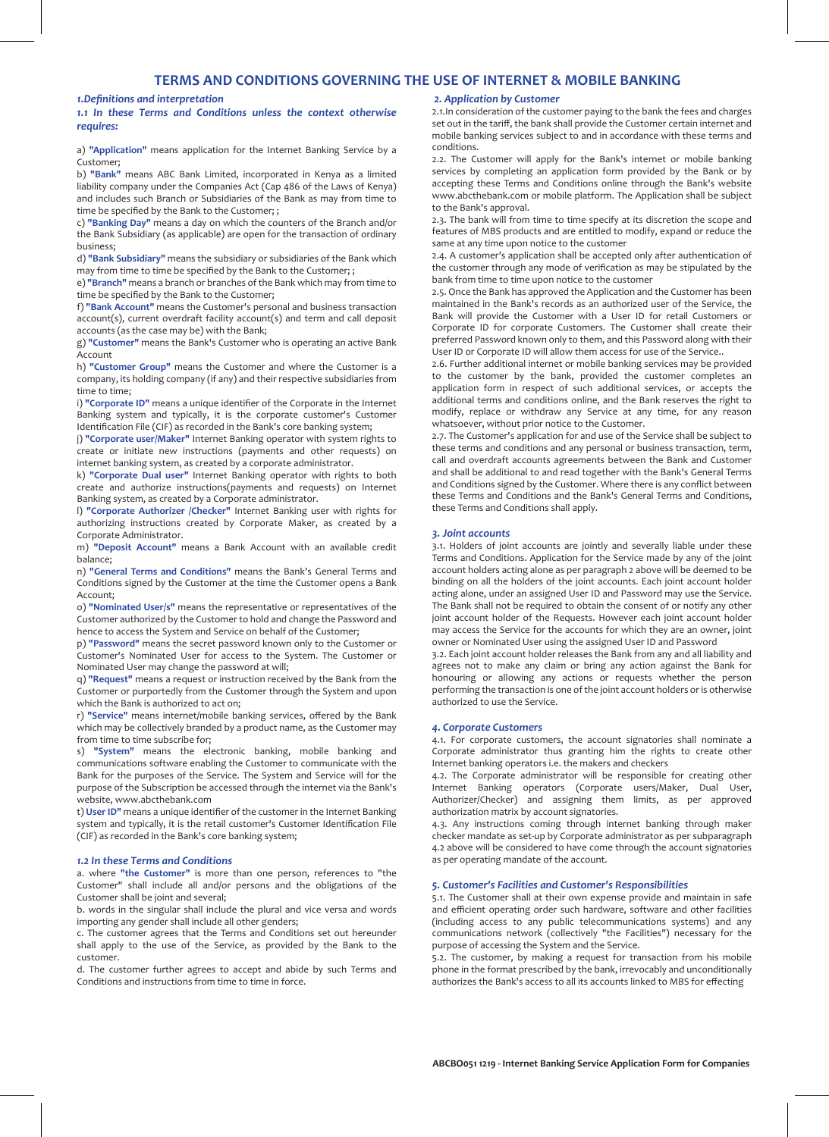# **TERMS AND CONDITIONS GOVERNING THE USE OF INTERNET & MOBILE BANKING**

*1.Definitions and interpretation*

*1.1 In these Terms and Conditions unless the context otherwise requires:*

a) **"Application"** means application for the Internet Banking Service by a Customer;

b) **"Bank"** means ABC Bank Limited, incorporated in Kenya as a limited liability company under the Companies Act (Cap 486 of the Laws of Kenya) and includes such Branch or Subsidiaries of the Bank as may from time to time be specified by the Bank to the Customer; ;

c) **"Banking Day"** means a day on which the counters of the Branch and/or the Bank Subsidiary (as applicable) are open for the transaction of ordinary business;

d) **"Bank Subsidiary"** means the subsidiary or subsidiaries of the Bank which may from time to time be specified by the Bank to the Customer; ;

e) **"Branch"** means a branch or branches of the Bank which may from time to time be specified by the Bank to the Customer;

f) **"Bank Account"** means the Customer's personal and business transaction account(s), current overdraft facility account(s) and term and call deposit accounts (as the case may be) with the Bank;

g) **"Customer"** means the Bank's Customer who is operating an active Bank Account

h) **"Customer Group"** means the Customer and where the Customer is a company, its holding company (if any) and their respective subsidiaries from time to time;

i) **"Corporate ID"** means a unique identifier of the Corporate in the Internet Banking system and typically, it is the corporate customer's Customer Identification File (CIF) as recorded in the Bank's core banking system;

j) **"Corporate user/Maker"** Internet Banking operator with system rights to create or initiate new instructions (payments and other requests) on internet banking system, as created by a corporate administrator.

k) **"Corporate Dual user"** Internet Banking operator with rights to both create and authorize instructions(payments and requests) on Internet Banking system, as created by a Corporate administrator.

l) **"Corporate Authorizer /Checker"** Internet Banking user with rights for authorizing instructions created by Corporate Maker, as created by a Corporate Administrator.

m) **"Deposit Account"** means a Bank Account with an available credit balance;

n) **"General Terms and Conditions"** means the Bank's General Terms and Conditions signed by the Customer at the time the Customer opens a Bank Account;

o) **"Nominated User/s"** means the representative or representatives of the Customer authorized by the Customer to hold and change the Password and hence to access the System and Service on behalf of the Customer;

p) **"Password"** means the secret password known only to the Customer or Customer's Nominated User for access to the System. The Customer or Nominated User may change the password at will;

q) **"Request"** means a request or instruction received by the Bank from the Customer or purportedly from the Customer through the System and upon which the Bank is authorized to act on;

r) **"Service"** means internet/mobile banking services, offered by the Bank which may be collectively branded by a product name, as the Customer may from time to time subscribe for;

s) **"System"** means the electronic banking, mobile banking and communications software enabling the Customer to communicate with the Bank for the purposes of the Service. The System and Service will for the purpose of the Subscription be accessed through the internet via the Bank's website, www.abcthebank.com

t) **User ID"** means a unique identifier of the customer in the Internet Banking system and typically, it is the retail customer's Customer Identification File (CIF) as recorded in the Bank's core banking system;

## *1.2 In these Terms and Conditions*

a. where **"the Customer"** is more than one person, references to "the Customer" shall include all and/or persons and the obligations of the Customer shall be joint and several;

b. words in the singular shall include the plural and vice versa and words importing any gender shall include all other genders;

c. The customer agrees that the Terms and Conditions set out hereunder shall apply to the use of the Service, as provided by the Bank to the customer.

d. The customer further agrees to accept and abide by such Terms and Conditions and instructions from time to time in force.

# *2. Application by Customer*

2.1.In consideration of the customer paying to the bank the fees and charges set out in the tariff, the bank shall provide the Customer certain internet and mobile banking services subject to and in accordance with these terms and conditions.

2.2. The Customer will apply for the Bank's internet or mobile banking services by completing an application form provided by the Bank or by accepting these Terms and Conditions online through the Bank's website www.abcthebank.com or mobile platform. The Application shall be subject to the Bank's approval.

2.3. The bank will from time to time specify at its discretion the scope and features of MBS products and are entitled to modify, expand or reduce the same at any time upon notice to the customer

2.4. A customer's application shall be accepted only after authentication of the customer through any mode of verification as may be stipulated by the bank from time to time upon notice to the customer

2.5. Once the Bank has approved the Application and the Customer has been maintained in the Bank's records as an authorized user of the Service, the Bank will provide the Customer with a User ID for retail Customers or Corporate ID for corporate Customers. The Customer shall create their preferred Password known only to them, and this Password along with their User ID or Corporate ID will allow them access for use of the Service..

2.6. Further additional internet or mobile banking services may be provided to the customer by the bank, provided the customer completes an application form in respect of such additional services, or accepts the additional terms and conditions online, and the Bank reserves the right to modify, replace or withdraw any Service at any time, for any reason whatsoever, without prior notice to the Customer.

2.7. The Customer's application for and use of the Service shall be subject to these terms and conditions and any personal or business transaction, term, call and overdraft accounts agreements between the Bank and Customer and shall be additional to and read together with the Bank's General Terms and Conditions signed by the Customer. Where there is any conflict between these Terms and Conditions and the Bank's General Terms and Conditions, these Terms and Conditions shall apply.

#### *3. Joint accounts*

3.1. Holders of joint accounts are jointly and severally liable under these Terms and Conditions. Application for the Service made by any of the joint account holders acting alone as per paragraph 2 above will be deemed to be binding on all the holders of the joint accounts. Each joint account holder acting alone, under an assigned User ID and Password may use the Service. The Bank shall not be required to obtain the consent of or notify any other joint account holder of the Requests. However each joint account holder may access the Service for the accounts for which they are an owner, joint owner or Nominated User using the assigned User ID and Password

3.2. Each joint account holder releases the Bank from any and all liability and agrees not to make any claim or bring any action against the Bank for honouring or allowing any actions or requests whether the person performing the transaction is one of the joint account holders or is otherwise authorized to use the Service.

# *4. Corporate Customers*

4.1. For corporate customers, the account signatories shall nominate a Corporate administrator thus granting him the rights to create other Internet banking operators i.e. the makers and checkers

4.2. The Corporate administrator will be responsible for creating other Internet Banking operators (Corporate users/Maker, Dual User, Authorizer/Checker) and assigning them limits, as per approved authorization matrix by account signatories.

4.3. Any instructions coming through internet banking through maker checker mandate as set-up by Corporate administrator as per subparagraph 4.2 above will be considered to have come through the account signatories as per operating mandate of the account.

# *5. Customer's Facilities and Customer's Responsibilities*

5.1. The Customer shall at their own expense provide and maintain in safe and efficient operating order such hardware, software and other facilities (including access to any public telecommunications systems) and any communications network (collectively "the Facilities") necessary for the purpose of accessing the System and the Service.

5.2. The customer, by making a request for transaction from his mobile phone in the format prescribed by the bank, irrevocably and unconditionally authorizes the Bank's access to all its accounts linked to MBS for effecting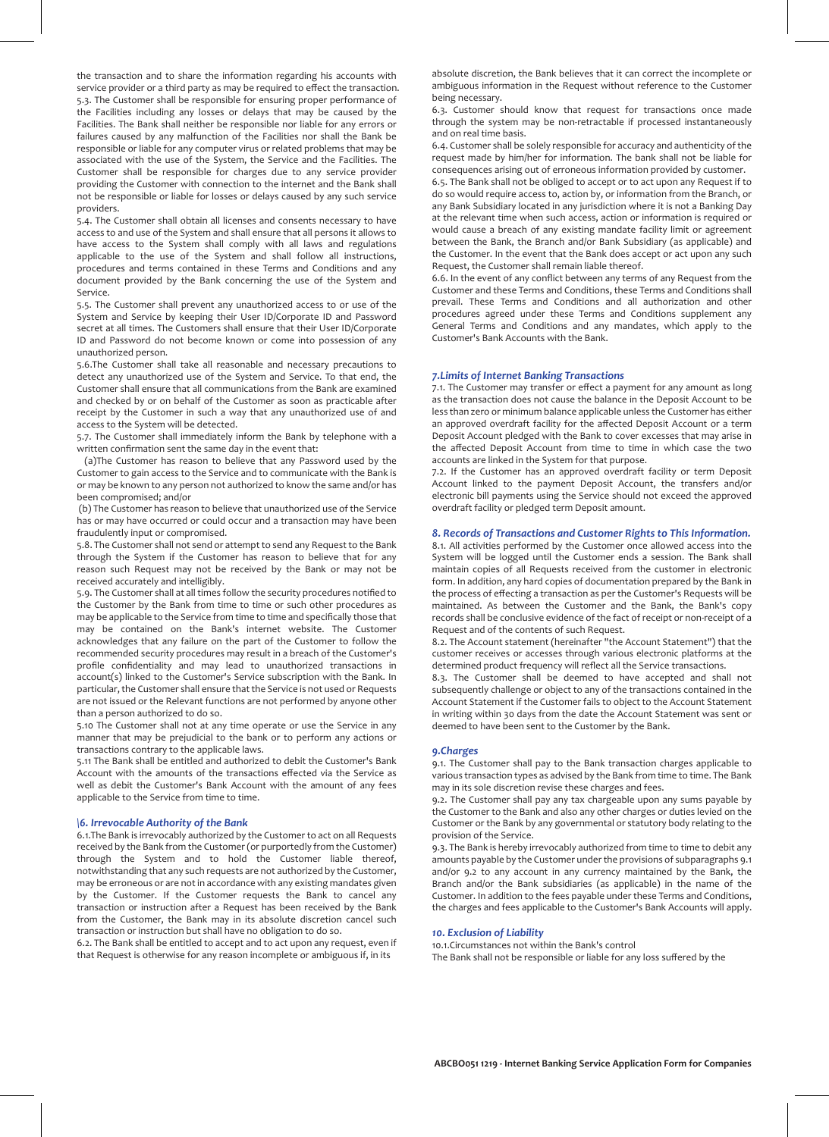the transaction and to share the information regarding his accounts with service provider or a third party as may be required to effect the transaction. 5.3. The Customer shall be responsible for ensuring proper performance of the Facilities including any losses or delays that may be caused by the Facilities. The Bank shall neither be responsible nor liable for any errors or failures caused by any malfunction of the Facilities nor shall the Bank be responsible or liable for any computer virus or related problems that may be associated with the use of the System, the Service and the Facilities. The Customer shall be responsible for charges due to any service provider providing the Customer with connection to the internet and the Bank shall not be responsible or liable for losses or delays caused by any such service providers.

5.4. The Customer shall obtain all licenses and consents necessary to have access to and use of the System and shall ensure that all persons it allows to have access to the System shall comply with all laws and regulations applicable to the use of the System and shall follow all instructions, procedures and terms contained in these Terms and Conditions and any document provided by the Bank concerning the use of the System and Service.

5.5. The Customer shall prevent any unauthorized access to or use of the System and Service by keeping their User ID/Corporate ID and Password secret at all times. The Customers shall ensure that their User ID/Corporate ID and Password do not become known or come into possession of any unauthorized person.

5.6.The Customer shall take all reasonable and necessary precautions to detect any unauthorized use of the System and Service. To that end, the Customer shall ensure that all communications from the Bank are examined and checked by or on behalf of the Customer as soon as practicable after receipt by the Customer in such a way that any unauthorized use of and access to the System will be detected.

5.7. The Customer shall immediately inform the Bank by telephone with a written confirmation sent the same day in the event that:

 (a)The Customer has reason to believe that any Password used by the Customer to gain access to the Service and to communicate with the Bank is or may be known to any person not authorized to know the same and/or has been compromised; and/or

 (b) The Customer has reason to believe that unauthorized use of the Service has or may have occurred or could occur and a transaction may have been fraudulently input or compromised.

5.8. The Customer shall not send or attempt to send any Request to the Bank through the System if the Customer has reason to believe that for any reason such Request may not be received by the Bank or may not be received accurately and intelligibly.

5.9. The Customer shall at all times follow the security procedures notified to the Customer by the Bank from time to time or such other procedures as may be applicable to the Service from time to time and specifically those that may be contained on the Bank's internet website. The Customer acknowledges that any failure on the part of the Customer to follow the recommended security procedures may result in a breach of the Customer's profile confidentiality and may lead to unauthorized transactions in account(s) linked to the Customer's Service subscription with the Bank. In particular, the Customer shall ensure that the Service is not used or Requests are not issued or the Relevant functions are not performed by anyone other than a person authorized to do so.

5.10 The Customer shall not at any time operate or use the Service in any manner that may be prejudicial to the bank or to perform any actions or transactions contrary to the applicable laws.

5.11 The Bank shall be entitled and authorized to debit the Customer's Bank Account with the amounts of the transactions effected via the Service as well as debit the Customer's Bank Account with the amount of any fees applicable to the Service from time to time.

## *\6. Irrevocable Authority of the Bank*

6.1.The Bank is irrevocably authorized by the Customer to act on all Requests received by the Bank from the Customer (or purportedly from the Customer) through the System and to hold the Customer liable thereof, notwithstanding that any such requests are not authorized by the Customer, may be erroneous or are not in accordance with any existing mandates given by the Customer. If the Customer requests the Bank to cancel any transaction or instruction after a Request has been received by the Bank from the Customer, the Bank may in its absolute discretion cancel such transaction or instruction but shall have no obligation to do so.

6.2. The Bank shall be entitled to accept and to act upon any request, even if that Request is otherwise for any reason incomplete or ambiguous if, in its

absolute discretion, the Bank believes that it can correct the incomplete or ambiguous information in the Request without reference to the Customer being necessary.

6.3. Customer should know that request for transactions once made through the system may be non-retractable if processed instantaneously and on real time basis.

6.4. Customer shall be solely responsible for accuracy and authenticity of the request made by him/her for information. The bank shall not be liable for consequences arising out of erroneous information provided by customer.

6.5. The Bank shall not be obliged to accept or to act upon any Request if to do so would require access to, action by, or information from the Branch, or any Bank Subsidiary located in any jurisdiction where it is not a Banking Day at the relevant time when such access, action or information is required or would cause a breach of any existing mandate facility limit or agreement between the Bank, the Branch and/or Bank Subsidiary (as applicable) and the Customer. In the event that the Bank does accept or act upon any such Request, the Customer shall remain liable thereof.

6.6. In the event of any conflict between any terms of any Request from the Customer and these Terms and Conditions, these Terms and Conditions shall prevail. These Terms and Conditions and all authorization and other procedures agreed under these Terms and Conditions supplement any General Terms and Conditions and any mandates, which apply to the Customer's Bank Accounts with the Bank.

#### *7.Limits of Internet Banking Transactions*

7.1. The Customer may transfer or effect a payment for any amount as long as the transaction does not cause the balance in the Deposit Account to be less than zero or minimum balance applicable unless the Customer has either an approved overdraft facility for the affected Deposit Account or a term Deposit Account pledged with the Bank to cover excesses that may arise in the affected Deposit Account from time to time in which case the two accounts are linked in the System for that purpose.

7.2. If the Customer has an approved overdraft facility or term Deposit Account linked to the payment Deposit Account, the transfers and/or electronic bill payments using the Service should not exceed the approved overdraft facility or pledged term Deposit amount.

## *8. Records of Transactions and Customer Rights to This Information.*

8.1. All activities performed by the Customer once allowed access into the System will be logged until the Customer ends a session. The Bank shall maintain copies of all Requests received from the customer in electronic form. In addition, any hard copies of documentation prepared by the Bank in the process of effecting a transaction as per the Customer's Requests will be maintained. As between the Customer and the Bank, the Bank's copy records shall be conclusive evidence of the fact of receipt or non-receipt of a Request and of the contents of such Request.

8.2. The Account statement (hereinafter "the Account Statement") that the customer receives or accesses through various electronic platforms at the determined product frequency will reflect all the Service transactions.

8.3. The Customer shall be deemed to have accepted and shall not subsequently challenge or object to any of the transactions contained in the Account Statement if the Customer fails to object to the Account Statement in writing within 30 days from the date the Account Statement was sent or deemed to have been sent to the Customer by the Bank.

#### *9.Charges*

9.1. The Customer shall pay to the Bank transaction charges applicable to various transaction types as advised by the Bank from time to time. The Bank may in its sole discretion revise these charges and fees.

9.2. The Customer shall pay any tax chargeable upon any sums payable by the Customer to the Bank and also any other charges or duties levied on the Customer or the Bank by any governmental or statutory body relating to the provision of the Service.

9.3. The Bank is hereby irrevocably authorized from time to time to debit any amounts payable by the Customer under the provisions of subparagraphs 9.1 and/or 9.2 to any account in any currency maintained by the Bank, the Branch and/or the Bank subsidiaries (as applicable) in the name of the Customer. In addition to the fees payable under these Terms and Conditions, the charges and fees applicable to the Customer's Bank Accounts will apply.

# *10. Exclusion of Liability*

10.1.Circumstances not within the Bank's control The Bank shall not be responsible or liable for any loss suffered by the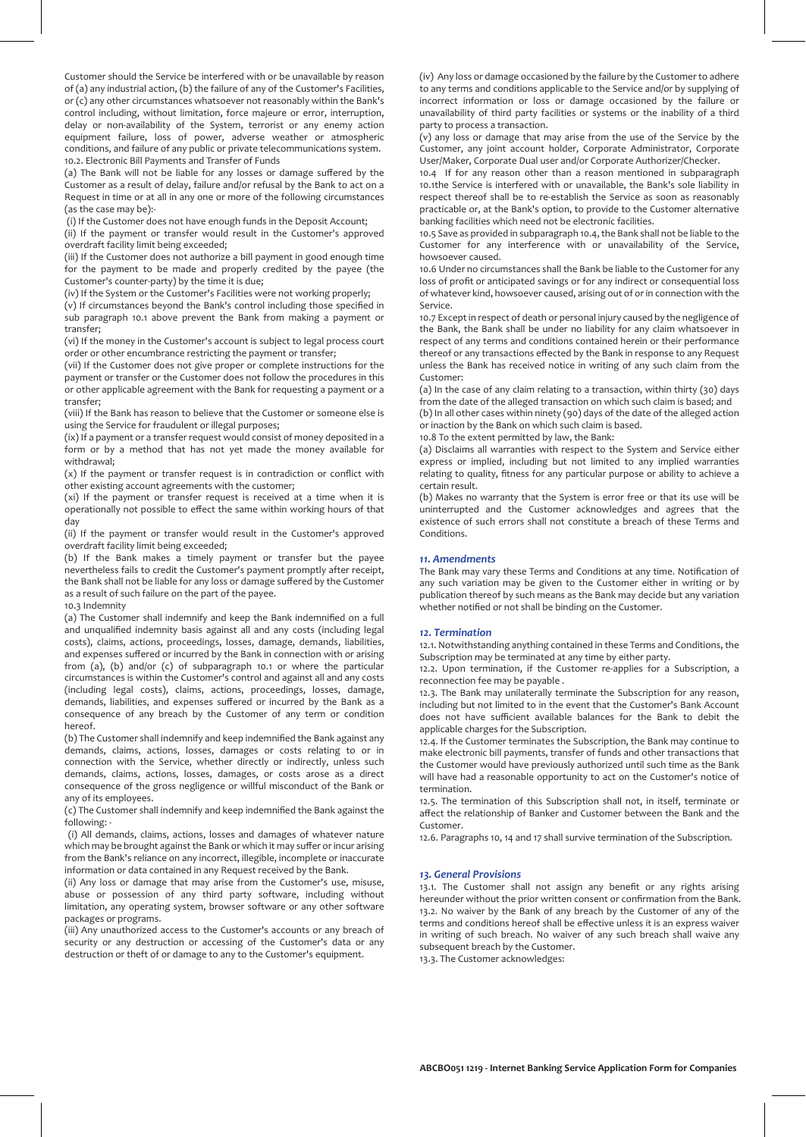Customer should the Service be interfered with or be unavailable by reason of (a) any industrial action, (b) the failure of any of the Customer's Facilities, or (c) any other circumstances whatsoever not reasonably within the Bank's control including, without limitation, force majeure or error, interruption, delay or non-availability of the System, terrorist or any enemy action equipment failure, loss of power, adverse weather or atmospheric conditions, and failure of any public or private telecommunications system. 10.2. Electronic Bill Payments and Transfer of Funds

(a) The Bank will not be liable for any losses or damage suffered by the Customer as a result of delay, failure and/or refusal by the Bank to act on a Request in time or at all in any one or more of the following circumstances (as the case may be):-

(i) If the Customer does not have enough funds in the Deposit Account;

(ii) If the payment or transfer would result in the Customer's approved overdraft facility limit being exceeded;

(iii) If the Customer does not authorize a bill payment in good enough time for the payment to be made and properly credited by the payee (the Customer's counter-party) by the time it is due;

(iv) If the System or the Customer's Facilities were not working properly;

(v) If circumstances beyond the Bank's control including those specified in sub paragraph 10.1 above prevent the Bank from making a payment or transfer;

(vi) If the money in the Customer's account is subject to legal process court order or other encumbrance restricting the payment or transfer;

(vii) If the Customer does not give proper or complete instructions for the payment or transfer or the Customer does not follow the procedures in this or other applicable agreement with the Bank for requesting a payment or a transfer;

(viii) If the Bank has reason to believe that the Customer or someone else is using the Service for fraudulent or illegal purposes;

(ix) If a payment or a transfer request would consist of money deposited in a form or by a method that has not yet made the money available for withdrawal;

(x) If the payment or transfer request is in contradiction or conflict with other existing account agreements with the customer;

(xi) If the payment or transfer request is received at a time when it is operationally not possible to effect the same within working hours of that day

(ii) If the payment or transfer would result in the Customer's approved overdraft facility limit being exceeded;

(b) If the Bank makes a timely payment or transfer but the payee nevertheless fails to credit the Customer's payment promptly after receipt, the Bank shall not be liable for any loss or damage suffered by the Customer as a result of such failure on the part of the payee.

10.3 Indemnity

(a) The Customer shall indemnify and keep the Bank indemnified on a full and unqualified indemnity basis against all and any costs (including legal costs), claims, actions, proceedings, losses, damage, demands, liabilities, and expenses suffered or incurred by the Bank in connection with or arising from (a), (b) and/or (c) of subparagraph 10.1 or where the particular circumstances is within the Customer's control and against all and any costs (including legal costs), claims, actions, proceedings, losses, damage, demands, liabilities, and expenses suffered or incurred by the Bank as a consequence of any breach by the Customer of any term or condition hereof.

(b) The Customer shall indemnify and keep indemnified the Bank against any demands, claims, actions, losses, damages or costs relating to or in connection with the Service, whether directly or indirectly, unless such demands, claims, actions, losses, damages, or costs arose as a direct consequence of the gross negligence or willful misconduct of the Bank or any of its employees.

(c) The Customer shall indemnify and keep indemnified the Bank against the following: -

 (i) All demands, claims, actions, losses and damages of whatever nature which may be brought against the Bank or which it may suffer or incur arising from the Bank's reliance on any incorrect, illegible, incomplete or inaccurate information or data contained in any Request received by the Bank.

(ii) Any loss or damage that may arise from the Customer's use, misuse, abuse or possession of any third party software, including without limitation, any operating system, browser software or any other software packages or programs.

(iii) Any unauthorized access to the Customer's accounts or any breach of security or any destruction or accessing of the Customer's data or any destruction or theft of or damage to any to the Customer's equipment.

(iv) Any loss or damage occasioned by the failure by the Customer to adhere to any terms and conditions applicable to the Service and/or by supplying of incorrect information or loss or damage occasioned by the failure or unavailability of third party facilities or systems or the inability of a third party to process a transaction.

(v) any loss or damage that may arise from the use of the Service by the Customer, any joint account holder, Corporate Administrator, Corporate User/Maker, Corporate Dual user and/or Corporate Authorizer/Checker.

10.4 If for any reason other than a reason mentioned in subparagraph 10.1the Service is interfered with or unavailable, the Bank's sole liability in respect thereof shall be to re-establish the Service as soon as reasonably practicable or, at the Bank's option, to provide to the Customer alternative banking facilities which need not be electronic facilities.

10.5 Save as provided in subparagraph 10.4, the Bank shall not be liable to the Customer for any interference with or unavailability of the Service, howsoever caused.

10.6 Under no circumstances shall the Bank be liable to the Customer for any loss of profit or anticipated savings or for any indirect or consequential loss of whatever kind, howsoever caused, arising out of or in connection with the Service.

10.7 Except in respect of death or personal injury caused by the negligence of the Bank, the Bank shall be under no liability for any claim whatsoever in respect of any terms and conditions contained herein or their performance thereof or any transactions effected by the Bank in response to any Request unless the Bank has received notice in writing of any such claim from the Customer:

(a) In the case of any claim relating to a transaction, within thirty (30) days from the date of the alleged transaction on which such claim is based; and (b) In all other cases within ninety (90) days of the date of the alleged action or inaction by the Bank on which such claim is based.

10.8 To the extent permitted by law, the Bank:

(a) Disclaims all warranties with respect to the System and Service either express or implied, including but not limited to any implied warranties relating to quality, fitness for any particular purpose or ability to achieve a certain result.

(b) Makes no warranty that the System is error free or that its use will be uninterrupted and the Customer acknowledges and agrees that the existence of such errors shall not constitute a breach of these Terms and Conditions.

# *11. Amendments*

The Bank may vary these Terms and Conditions at any time. Notification of any such variation may be given to the Customer either in writing or by publication thereof by such means as the Bank may decide but any variation whether notified or not shall be binding on the Customer.

#### *12. Termination*

12.1. Notwithstanding anything contained in these Terms and Conditions, the Subscription may be terminated at any time by either party.

12.2. Upon termination, if the Customer re-applies for a Subscription, a reconnection fee may be payable .

12.3. The Bank may unilaterally terminate the Subscription for any reason, including but not limited to in the event that the Customer's Bank Account does not have sufficient available balances for the Bank to debit the applicable charges for the Subscription.

12.4. If the Customer terminates the Subscription, the Bank may continue to make electronic bill payments, transfer of funds and other transactions that the Customer would have previously authorized until such time as the Bank will have had a reasonable opportunity to act on the Customer's notice of termination.

12.5. The termination of this Subscription shall not, in itself, terminate or affect the relationship of Banker and Customer between the Bank and the Customer.

12.6. Paragraphs 10, 14 and 17 shall survive termination of the Subscription.

#### *13. General Provisions*

13.1. The Customer shall not assign any benefit or any rights arising hereunder without the prior written consent or confirmation from the Bank. 13.2. No waiver by the Bank of any breach by the Customer of any of the terms and conditions hereof shall be effective unless it is an express waiver in writing of such breach. No waiver of any such breach shall waive any subsequent breach by the Customer.

13.3. The Customer acknowledges: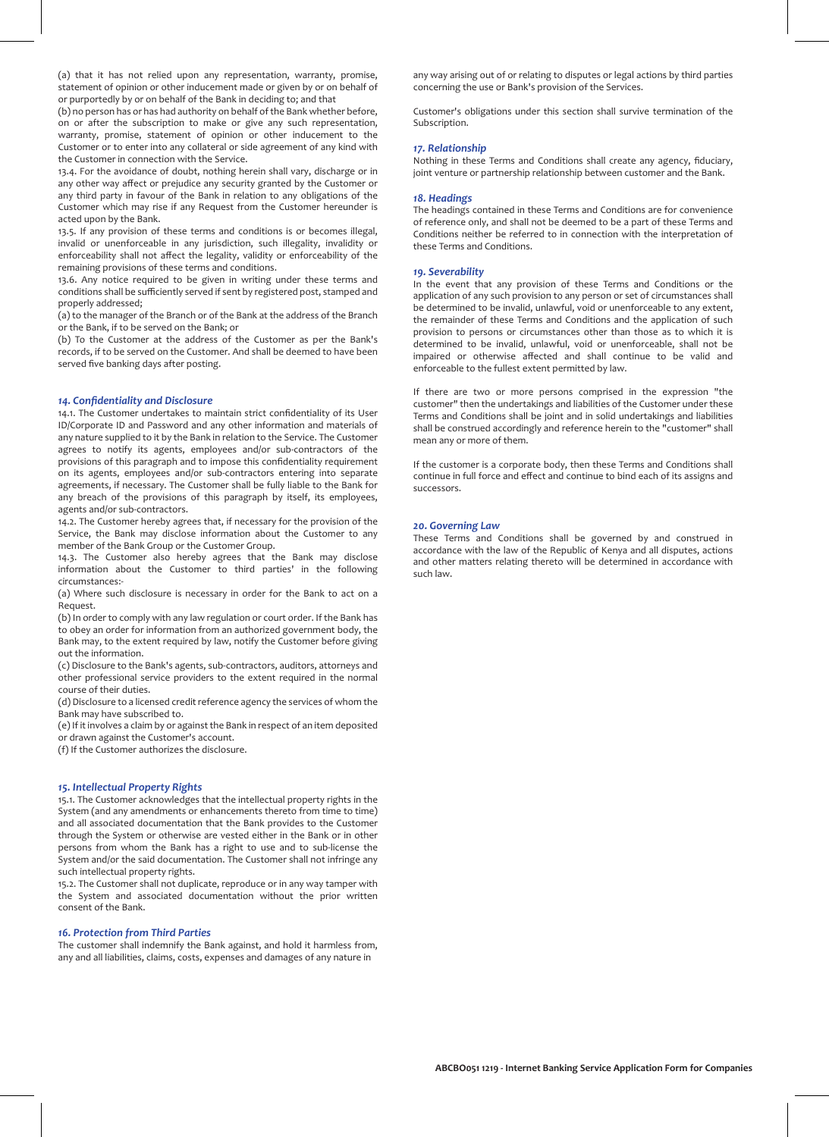(a) that it has not relied upon any representation, warranty, promise, statement of opinion or other inducement made or given by or on behalf of or purportedly by or on behalf of the Bank in deciding to; and that

(b) no person has or has had authority on behalf of the Bank whether before, on or after the subscription to make or give any such representation, warranty, promise, statement of opinion or other inducement to the Customer or to enter into any collateral or side agreement of any kind with the Customer in connection with the Service.

13.4. For the avoidance of doubt, nothing herein shall vary, discharge or in any other way affect or prejudice any security granted by the Customer or any third party in favour of the Bank in relation to any obligations of the Customer which may rise if any Request from the Customer hereunder is acted upon by the Bank.

13.5. If any provision of these terms and conditions is or becomes illegal, invalid or unenforceable in any jurisdiction, such illegality, invalidity or enforceability shall not affect the legality, validity or enforceability of the remaining provisions of these terms and conditions.

13.6. Any notice required to be given in writing under these terms and conditions shall be sufficiently served if sent by registered post, stamped and properly addressed;

(a) to the manager of the Branch or of the Bank at the address of the Branch or the Bank, if to be served on the Bank; or

(b) To the Customer at the address of the Customer as per the Bank's records, if to be served on the Customer. And shall be deemed to have been served five banking days after posting.

## *14. Confidentiality and Disclosure*

14.1. The Customer undertakes to maintain strict confidentiality of its User ID/Corporate ID and Password and any other information and materials of any nature supplied to it by the Bank in relation to the Service. The Customer agrees to notify its agents, employees and/or sub-contractors of the provisions of this paragraph and to impose this confidentiality requirement on its agents, employees and/or sub-contractors entering into separate agreements, if necessary. The Customer shall be fully liable to the Bank for any breach of the provisions of this paragraph by itself, its employees, agents and/or sub-contractors.

14.2. The Customer hereby agrees that, if necessary for the provision of the Service, the Bank may disclose information about the Customer to any member of the Bank Group or the Customer Group.

14.3. The Customer also hereby agrees that the Bank may disclose information about the Customer to third parties' in the following circumstances:-

(a) Where such disclosure is necessary in order for the Bank to act on a Request.

(b) In order to comply with any law regulation or court order. If the Bank has to obey an order for information from an authorized government body, the Bank may, to the extent required by law, notify the Customer before giving out the information.

(c) Disclosure to the Bank's agents, sub-contractors, auditors, attorneys and other professional service providers to the extent required in the normal course of their duties.

(d) Disclosure to a licensed credit reference agency the services of whom the Bank may have subscribed to.

(e) If it involves a claim by or against the Bank in respect of an item deposited or drawn against the Customer's account.

(f) If the Customer authorizes the disclosure.

#### *15. Intellectual Property Rights*

15.1. The Customer acknowledges that the intellectual property rights in the System (and any amendments or enhancements thereto from time to time) and all associated documentation that the Bank provides to the Customer through the System or otherwise are vested either in the Bank or in other persons from whom the Bank has a right to use and to sub-license the System and/or the said documentation. The Customer shall not infringe any such intellectual property rights.

15.2. The Customer shall not duplicate, reproduce or in any way tamper with the System and associated documentation without the prior written consent of the Bank.

## *16. Protection from Third Parties*

The customer shall indemnify the Bank against, and hold it harmless from, any and all liabilities, claims, costs, expenses and damages of any nature in

any way arising out of or relating to disputes or legal actions by third parties concerning the use or Bank's provision of the Services.

Customer's obligations under this section shall survive termination of the Subscription.

# *17. Relationship*

Nothing in these Terms and Conditions shall create any agency, fiduciary, joint venture or partnership relationship between customer and the Bank.

# *18. Headings*

The headings contained in these Terms and Conditions are for convenience of reference only, and shall not be deemed to be a part of these Terms and Conditions neither be referred to in connection with the interpretation of these Terms and Conditions.

#### *19. Severability*

In the event that any provision of these Terms and Conditions or the application of any such provision to any person or set of circumstances shall be determined to be invalid, unlawful, void or unenforceable to any extent, the remainder of these Terms and Conditions and the application of such provision to persons or circumstances other than those as to which it is determined to be invalid, unlawful, void or unenforceable, shall not be impaired or otherwise affected and shall continue to be valid and enforceable to the fullest extent permitted by law.

If there are two or more persons comprised in the expression "the customer" then the undertakings and liabilities of the Customer under these Terms and Conditions shall be joint and in solid undertakings and liabilities shall be construed accordingly and reference herein to the "customer" shall mean any or more of them.

If the customer is a corporate body, then these Terms and Conditions shall continue in full force and effect and continue to bind each of its assigns and successors.

## *20. Governing Law*

These Terms and Conditions shall be governed by and construed in accordance with the law of the Republic of Kenya and all disputes, actions and other matters relating thereto will be determined in accordance with such law.